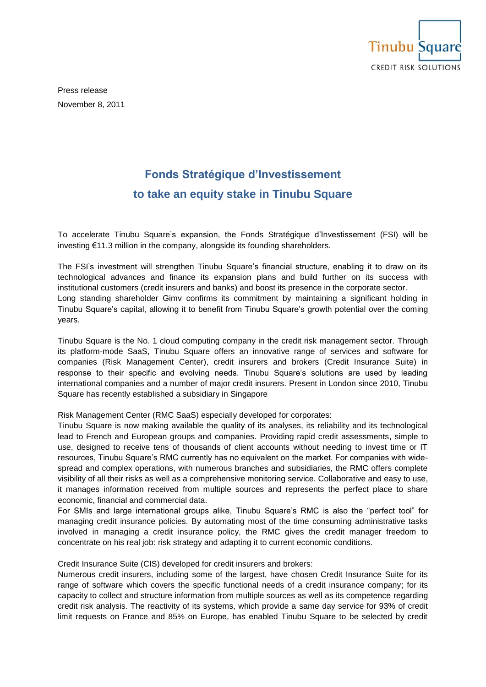

Press release November 8, 2011

## **Fonds Stratégique d'Investissement to take an equity stake in Tinubu Square**

To accelerate Tinubu Square's expansion, the Fonds Stratégique d'Investissement (FSI) will be investing €11.3 million in the company, alongside its founding shareholders.

The FSI's investment will strengthen Tinubu Square's financial structure, enabling it to draw on its technological advances and finance its expansion plans and build further on its success with institutional customers (credit insurers and banks) and boost its presence in the corporate sector. Long standing shareholder Gimv confirms its commitment by maintaining a significant holding in Tinubu Square's capital, allowing it to benefit from Tinubu Square's growth potential over the coming years.

Tinubu Square is the No. 1 cloud computing company in the credit risk management sector. Through its platform-mode SaaS, Tinubu Square offers an innovative range of services and software for companies (Risk Management Center), credit insurers and brokers (Credit Insurance Suite) in response to their specific and evolving needs. Tinubu Square's solutions are used by leading international companies and a number of major credit insurers. Present in London since 2010, Tinubu Square has recently established a subsidiary in Singapore

Risk Management Center (RMC SaaS) especially developed for corporates:

Tinubu Square is now making available the quality of its analyses, its reliability and its technological lead to French and European groups and companies. Providing rapid credit assessments, simple to use, designed to receive tens of thousands of client accounts without needing to invest time or IT resources, Tinubu Square's RMC currently has no equivalent on the market. For companies with widespread and complex operations, with numerous branches and subsidiaries, the RMC offers complete visibility of all their risks as well as a comprehensive monitoring service. Collaborative and easy to use, it manages information received from multiple sources and represents the perfect place to share economic, financial and commercial data.

For SMIs and large international groups alike, Tinubu Square's RMC is also the "perfect tool" for managing credit insurance policies. By automating most of the time consuming administrative tasks involved in managing a credit insurance policy, the RMC gives the credit manager freedom to concentrate on his real job: risk strategy and adapting it to current economic conditions.

Credit Insurance Suite (CIS) developed for credit insurers and brokers:

Numerous credit insurers, including some of the largest, have chosen Credit Insurance Suite for its range of software which covers the specific functional needs of a credit insurance company; for its capacity to collect and structure information from multiple sources as well as its competence regarding credit risk analysis. The reactivity of its systems, which provide a same day service for 93% of credit limit requests on France and 85% on Europe, has enabled Tinubu Square to be selected by credit